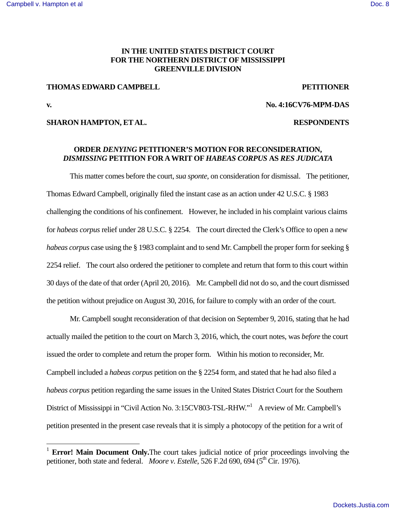## **IN THE UNITED STATES DISTRICT COURT FOR THE NORTHERN DISTRICT OF MISSISSIPPI GREENVILLE DIVISION**

### **THOMAS EDWARD CAMPBELL PETITIONER**

<u>.</u>

## **v. No. 4:16CV76-MPM-DAS**

## **SHARON HAMPTON, ET AL. RESPONDENTS**

# **ORDER** *DENYING* **PETITIONER'S MOTION FOR RECONSIDERATION,**  *DISMISSING* **PETITION FOR A WRIT OF** *HABEAS CORPUS* **AS** *RES JUDICATA*

 This matter comes before the court, *sua sponte*, on consideration for dismissal. The petitioner, Thomas Edward Campbell, originally filed the instant case as an action under 42 U.S.C. § 1983 challenging the conditions of his confinement. However, he included in his complaint various claims for *habeas corpus* relief under 28 U.S.C. § 2254. The court directed the Clerk's Office to open a new *habeas corpus* case using the § 1983 complaint and to send Mr. Campbell the proper form for seeking § 2254 relief. The court also ordered the petitioner to complete and return that form to this court within 30 days of the date of that order (April 20, 2016). Mr. Campbell did not do so, and the court dismissed the petition without prejudice on August 30, 2016, for failure to comply with an order of the court.

 Mr. Campbell sought reconsideration of that decision on September 9, 2016, stating that he had actually mailed the petition to the court on March 3, 2016, which, the court notes, was *before* the court issued the order to complete and return the proper form. Within his motion to reconsider, Mr. Campbell included a *habeas corpus* petition on the § 2254 form, and stated that he had also filed a *habeas corpus* petition regarding the same issues in the United States District Court for the Southern District of Mississippi in "Civil Action No. 3:15CV803-TSL-RHW."<sup>1</sup> A review of Mr. Campbell's petition presented in the present case reveals that it is simply a photocopy of the petition for a writ of

<sup>&</sup>lt;sup>1</sup> **Error! Main Document Only.**The court takes judicial notice of prior proceedings involving the petitioner, both state and federal. *Moore v. Estelle*, 526 F.2d 690, 694 (5<sup>th</sup> Cir. 1976).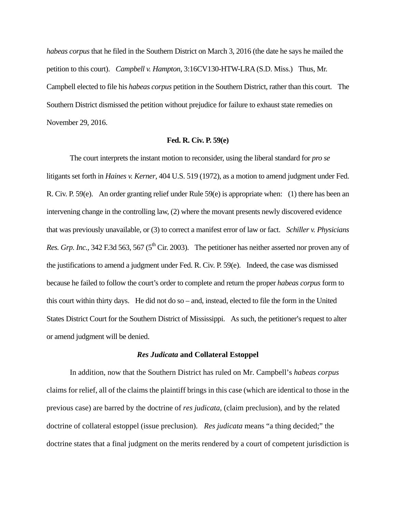*habeas corpus* that he filed in the Southern District on March 3, 2016 (the date he says he mailed the petition to this court). *Campbell v. Hampton*, 3:16CV130-HTW-LRA (S.D. Miss.) Thus, Mr. Campbell elected to file his *habeas corpus* petition in the Southern District, rather than this court. The Southern District dismissed the petition without prejudice for failure to exhaust state remedies on November 29, 2016.

#### **Fed. R. Civ. P. 59(e)**

 The court interprets the instant motion to reconsider, using the liberal standard for *pro se* litigants set forth in *Haines v. Kerner*, 404 U.S. 519 (1972), as a motion to amend judgment under Fed. R. Civ. P. 59(e). An order granting relief under Rule 59(e) is appropriate when: (1) there has been an intervening change in the controlling law, (2) where the movant presents newly discovered evidence that was previously unavailable, or (3) to correct a manifest error of law or fact. *Schiller v. Physicians Res. Grp. Inc.*, 342 F.3d 563, 567 (5<sup>th</sup> Cir. 2003). The petitioner has neither asserted nor proven any of the justifications to amend a judgment under Fed. R. Civ. P. 59(e). Indeed, the case was dismissed because he failed to follow the court's order to complete and return the proper *habeas corpus* form to this court within thirty days. He did not do so – and, instead, elected to file the form in the United States District Court for the Southern District of Mississippi. As such, the petitioner's request to alter or amend judgment will be denied.

#### *Res Judicata* **and Collateral Estoppel**

 In addition, now that the Southern District has ruled on Mr. Campbell's *habeas corpus* claims for relief, all of the claims the plaintiff brings in this case (which are identical to those in the previous case) are barred by the doctrine of *res judicata,* (claim preclusion), and by the related doctrine of collateral estoppel (issue preclusion). *Res judicata* means "a thing decided;" the doctrine states that a final judgment on the merits rendered by a court of competent jurisdiction is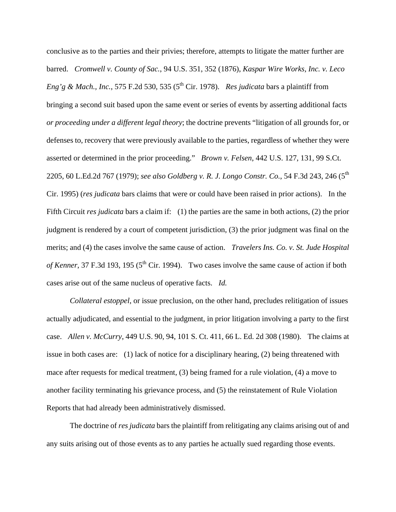conclusive as to the parties and their privies; therefore, attempts to litigate the matter further are barred. *Cromwell v. County of Sac.*, 94 U.S. 351, 352 (1876), *Kaspar Wire Works, Inc. v. Leco Eng'g & Mach., Inc.*, 575 F.2d 530, 535 (5<sup>th</sup> Cir. 1978). *Res judicata* bars a plaintiff from bringing a second suit based upon the same event or series of events by asserting additional facts *or proceeding under a different legal theory*; the doctrine prevents "litigation of all grounds for, or defenses to, recovery that were previously available to the parties, regardless of whether they were asserted or determined in the prior proceeding." *Brown v. Felsen*, 442 U.S. 127, 131, 99 S.Ct. 2205, 60 L.Ed.2d 767 (1979); *see also Goldberg v. R. J. Longo Constr. Co.*, 54 F.3d 243, 246 (5th Cir. 1995) (*res judicata* bars claims that were or could have been raised in prior actions). In the Fifth Circuit *res judicata* bars a claim if: (1) the parties are the same in both actions, (2) the prior judgment is rendered by a court of competent jurisdiction, (3) the prior judgment was final on the merits; and (4) the cases involve the same cause of action. *Travelers Ins. Co. v. St. Jude Hospital of Kenner*, 37 F.3d 193, 195 (5<sup>th</sup> Cir. 1994). Two cases involve the same cause of action if both cases arise out of the same nucleus of operative facts. *Id.*

*Collateral estoppel*, or issue preclusion, on the other hand, precludes relitigation of issues actually adjudicated, and essential to the judgment, in prior litigation involving a party to the first case. *Allen v. McCurry*, 449 U.S. 90, 94, 101 S. Ct. 411, 66 L. Ed. 2d 308 (1980). The claims at issue in both cases are: (1) lack of notice for a disciplinary hearing, (2) being threatened with mace after requests for medical treatment, (3) being framed for a rule violation, (4) a move to another facility terminating his grievance process, and (5) the reinstatement of Rule Violation Reports that had already been administratively dismissed.

 The doctrine of *res judicata* bars the plaintiff from relitigating any claims arising out of and any suits arising out of those events as to any parties he actually sued regarding those events.